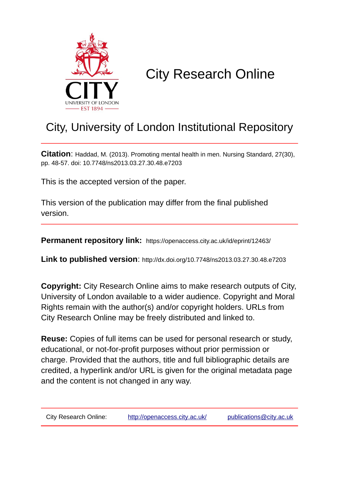

# City Research Online

# City, University of London Institutional Repository

**Citation**: Haddad, M. (2013). Promoting mental health in men. Nursing Standard, 27(30), pp. 48-57. doi: 10.7748/ns2013.03.27.30.48.e7203

This is the accepted version of the paper.

This version of the publication may differ from the final published version.

**Permanent repository link:** https://openaccess.city.ac.uk/id/eprint/12463/

**Link to published version**: http://dx.doi.org/10.7748/ns2013.03.27.30.48.e7203

**Copyright:** City Research Online aims to make research outputs of City, University of London available to a wider audience. Copyright and Moral Rights remain with the author(s) and/or copyright holders. URLs from City Research Online may be freely distributed and linked to.

**Reuse:** Copies of full items can be used for personal research or study, educational, or not-for-profit purposes without prior permission or charge. Provided that the authors, title and full bibliographic details are credited, a hyperlink and/or URL is given for the original metadata page and the content is not changed in any way.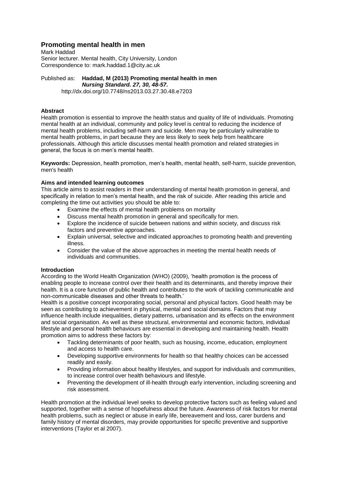# **Promoting mental health in men**

Mark Haddad Senior lecturer. Mental health, City University, London Correspondence to: [mark.haddad.1@city.ac.uk](mailto:mark.haddad.1@city.ac.uk)

Published as: **Haddad, M (2013) Promoting mental health in men** *Nursing Standard. 27, 30, 48-57***.**  <http://dx.doi.org/10.7748/ns2013.03.27.30.48.e7203>

# **Abstract**

Health promotion is essential to improve the health status and quality of life of individuals. Promoting mental health at an individual, community and policy level is central to reducing the incidence of mental health problems, including self-harm and suicide. Men may be particularly vulnerable to mental health problems, in part because they are less likely to seek help from healthcare professionals. Although this article discusses mental health promotion and related strategies in general, the focus is on men's mental health.

**Keywords:** Depression, health promotion, men's health, mental health, self-harm, suicide prevention, men's health

# **Aims and intended learning outcomes**

This article aims to assist readers in their understanding of mental health promotion in general, and specifically in relation to men's mental health, and the risk of suicide. After reading this article and completing the time out activities you should be able to:

- Examine the effects of mental health problems on mortality
- Discuss mental health promotion in general and specifically for men.
- Explore the incidence of suicide between nations and within society, and discuss risk factors and preventive approaches.
- Explain universal, selective and indicated approaches to promoting health and preventing illness.
- Consider the value of the above approaches in meeting the mental health needs of individuals and communities.

#### **Introduction**

According to the World Health Organization (WHO) [\(2009\)](http://journals.rcni.com/doi/full/10.7748/ns2013.03.27.30.48.e7203), 'health promotion is the process of enabling people to increase control over their health and its determinants, and thereby improve their health. It is a core function of public health and contributes to the work of tackling communicable and non-communicable diseases and other threats to health.'

Health is a positive concept incorporating social, personal and physical factors. Good health may be seen as contributing to achievement in physical, mental and social domains. Factors that may influence health include inequalities, dietary patterns, urbanisation and its effects on the environment and social organisation. As well as these structural, environmental and economic factors, individual lifestyle and personal health behaviours are essential in developing and maintaining health. Health promotion aims to address these factors by:

- Tackling determinants of poor health, such as housing, income, education, employment and access to health care.
- Developing supportive environments for health so that healthy choices can be accessed readily and easily.
- Providing information about healthy lifestyles, and support for individuals and communities, to increase control over health behaviours and lifestyle.
- Preventing the development of ill-health through early intervention, including screening and risk assessment.

Health promotion at the individual level seeks to develop protective factors such as feeling valued and supported, together with a sense of hopefulness about the future. Awareness of risk factors for mental health problems, such as neglect or abuse in early life, bereavement and loss, carer burdens and family history of mental disorders, may provide opportunities for specific preventive and supportive interventions [\(Taylor et al 2007\)](http://journals.rcni.com/doi/full/10.7748/ns2013.03.27.30.48.e7203).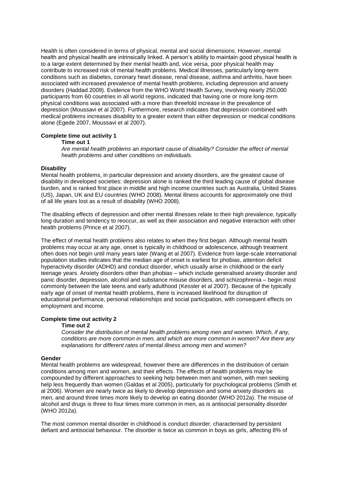Health is often considered in terms of physical, mental and social dimensions. However, mental health and physical health are intrinsically linked. A person's ability to maintain good physical health is to a large extent determined by their mental health and, vice versa, poor physical health may contribute to increased risk of mental health problems. Medical illnesses, particularly long-term conditions such as diabetes, coronary heart disease, renal disease, asthma and arthritis, have been associated with increased prevalence of mental health problems, including depression and anxiety disorders [\(Haddad 2009\)](http://journals.rcni.com/doi/full/10.7748/ns2013.03.27.30.48.e7203). Evidence from the WHO World Health Survey, involving nearly 250,000 participants from 60 countries in all world regions, indicated that having one or more long-term physical conditions was associated with a more than threefold increase in the prevalence of depression [\(Moussavi et al 2007\)](http://journals.rcni.com/doi/full/10.7748/ns2013.03.27.30.48.e7203). Furthermore, research indicates that depression combined with medical problems increases disability to a greater extent than either depression or medical conditions alone [\(Egede 2007, Moussavi et al 2007\)](http://journals.rcni.com/doi/full/10.7748/ns2013.03.27.30.48.e7203).

#### **Complete time out activity [1](javascript:popRef()**

# **Time out 1**

*Are mental health problems an important cause of disability? Consider the effect of mental health problems and other conditions on individuals.*

#### **Disability**

Mental health problems, in particular depression and anxiety disorders, are the greatest cause of disability in developed societies: depression alone is ranked the third leading cause of global disease burden, and is ranked first place in middle and high income countries such as Australia, United States (US), Japan, UK and EU countries (WHO 2008). Mental illness accounts for approximately one third of all life years lost as a result of disability (WHO 2008).

The disabling effects of depression and other mental illnesses relate to their high prevalence, typically long duration and tendency to reoccur, as well as their association and negative interaction with other health problems (Prince et al 2007).

The effect of mental health problems also relates to when they first began. Although mental health problems may occur at any age, onset is typically in childhood or adolescence, although treatment often does not begin until many years later (Wang et al 2007). Evidence from large-scale international population studies indicates that the median age of onset is earliest for phobias, attention deficit hyperactivity disorder (ADHD) and conduct disorder, which usually arise in childhood or the early teenage years. Anxiety disorders other than phobias – which include generalised anxiety disorder and panic disorder, depression, alcohol and substance misuse disorders, and schizophrenia – begin most commonly between the late teens and early adulthood [\(Kessler et al 2007\)](http://journals.rcni.com/doi/full/10.7748/ns2013.03.27.30.48.e7203). Because of the typically early age of onset of mental health problems, there is increased likelihood for disruption of educational performance, personal relationships and social participation, with consequent effects on employment and income.

#### **Complete time out activity [2](javascript:popRef()**

#### **Time out 2**

*Consider the distribution of mental health problems among men and women. Which, if any, conditions are more common in men, and which are more common in women? Are there any explanations for different rates of mental illness among men and women?*

#### **Gender**

Mental health problems are widespread, however there are differences in the distribution of certain conditions among men and women, and their effects. The effects of health problems may be compounded by different approaches to seeking help between men and women, with men seeking help less frequently than women [\(Galdas et al 2005\)](http://journals.rcni.com/doi/full/10.7748/ns2013.03.27.30.48.e7203), particularly for psychological problems (Smith et al 2006). Women are nearly twice as likely to develop depression and some anxiety disorders as men, and around three times more likely to develop an eating disorder (WHO 2012a). The misuse of alcohol and drugs is three to four times more common in men, as is antisocial personality disorder (WHO 2012a).

The most common mental disorder in childhood is conduct disorder, characterised by persistent defiant and antisocial behaviour. The disorder is twice as common in boys as girls, affecting 8% of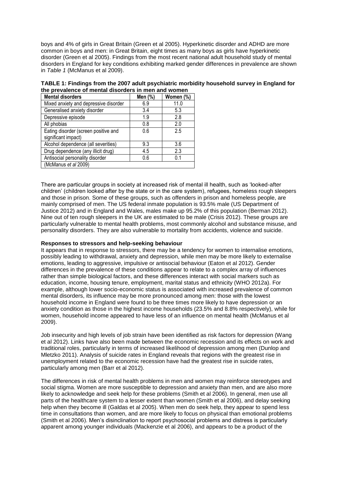boys and 4% of girls in Great Britain (Green et al 2005). Hyperkinetic disorder and ADHD are more common in boys and men: in Great Britain, eight times as many boys as girls have hyperkinetic disorder (Green et al 2005). Findings from the most recent national adult household study of mental disorders in England for key conditions exhibiting marked gender differences in prevalence are shown in *[Table 1](javascript:popRef()* (McManus et al 2009).

| TABLE 1: Findings from the 2007 adult psychiatric morbidity household survey in England for |  |
|---------------------------------------------------------------------------------------------|--|
| the prevalence of mental disorders in men and women                                         |  |

| <b>Mental disorders</b>               | Men $(\%)$ | Women (%) |
|---------------------------------------|------------|-----------|
| Mixed anxiety and depressive disorder | 6.9        | 11.0      |
| Generalised anxiety disorder          | 3.4        | 5.3       |
| Depressive episode                    | 1.9        | 2.8       |
| All phobias                           | 0.8        | 2.0       |
| Eating disorder (screen positive and  | 0.6        | 2.5       |
| significant impact)                   |            |           |
| Alcohol dependence (all severities)   | 9.3        | 3.6       |
| Drug dependence (any illicit drug)    | 4.5        | 2.3       |
| Antisocial personality disorder       | 0.6        | 0.1       |
| (McManus et al 2009)                  |            |           |

There are particular groups in society at increased risk of mental ill health, such as 'looked-after children' (children looked after by the state or in the care system), refugees, homeless rough sleepers and those in prison. Some of these groups, such as offenders in prison and homeless people, are mainly comprised of men. The US federal inmate population is 93.5% male [\(US Department of](http://journals.rcni.com/doi/full/10.7748/ns2013.03.27.30.48.e7203)  [Justice 2012\)](http://journals.rcni.com/doi/full/10.7748/ns2013.03.27.30.48.e7203) and in England and Wales, males make up 95.2% of this population [\(Berman 2012\)](http://journals.rcni.com/doi/full/10.7748/ns2013.03.27.30.48.e7203). Nine out of ten rough sleepers in the UK are estimated to be male [\(Crisis 2012\)](http://journals.rcni.com/doi/full/10.7748/ns2013.03.27.30.48.e7203). These groups are particularly vulnerable to mental health problems, most commonly alcohol and substance misuse, and personality disorders. They are also vulnerable to mortality from accidents, violence and suicide.

#### **Responses to stressors and help-seeking behaviour**

It appears that in response to stressors, there may be a tendency for women to internalise emotions, possibly leading to withdrawal, anxiety and depression, while men may be more likely to externalise emotions, leading to aggressive, impulsive or antisocial behaviour (Eaton et al 2012). Gender differences in the prevalence of these conditions appear to relate to a complex array of influences rather than simple biological factors, and these differences interact with social markers such as education, income, housing tenure, employment, marital status and ethnicity (WHO 2012a). For example, although lower socio-economic status is associated with increased prevalence of common mental disorders, its influence may be more pronounced among men: those with the lowest household income in England were found to be three times more likely to have depression or an anxiety condition as those in the highest income households (23.5% and 8.8% respectively), while for women, household income appeared to have less of an influence on mental health (McManus et al 2009).

Job insecurity and high levels of job strain have been identified as risk factors for depression (Wang et al 2012). Links have also been made between the economic recession and its effects on work and traditional roles, particularly in terms of increased likelihood of depression among men (Dunlop and Mletzko 2011). Analysis of suicide rates in England reveals that regions with the greatest rise in unemployment related to the economic recession have had the greatest rise in suicide rates, particularly among men (Barr et al 2012).

The differences in risk of mental health problems in men and women may reinforce stereotypes and social stigma. Women are more susceptible to depression and anxiety than men, and are also more likely to acknowledge and seek help for these problems (Smith et al 2006). In general, men use all parts of the healthcare system to a lesser extent than women (Smith et al 2006), and delay seeking help when they become ill (Galdas et al 2005). When men do seek help, they appear to spend less time in consultations than women, and are more likely to focus on physical than emotional problems [\(Smith et al 2006\)](http://journals.rcni.com/doi/full/10.7748/ns2013.03.27.30.48.e7203). Men's disinclination to report psychosocial problems and distress is particularly apparent among younger individuals (Mackenzie et al 2006), and appears to be a product of the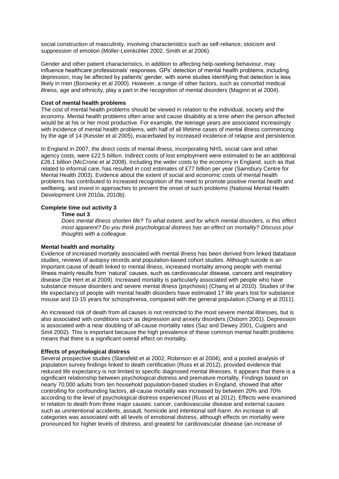social construction of masculinity, involving characteristics such as self-reliance, stoicism and suppression of emotion (Möller-Leimkühler 2002, [Smith et al 2006\)](http://journals.rcni.com/doi/full/10.7748/ns2013.03.27.30.48.e7203).

Gender and other patient characteristics, in addition to affecting help-seeking behaviour, may influence healthcare professionals' responses. GPs' detection of mental health problems, including depression, may be affected by patients' gender, with some studies identifying that detection is less likely in men (Borowsky et al 2000). However, a range of other factors, such as comorbid medical illness, age and ethnicity, play a part in the recognition of mental disorders (Maginn et al 2004).

#### **Cost of mental health problems**

The cost of mental health problems should be viewed in relation to the individual, society and the economy. Mental health problems often arise and cause disability at a time when the person affected would be at his or her most productive. For example, the teenage years are associated increasingly with incidence of mental health problems, with half of all lifetime cases of mental illness commencing by the age of 14 (Kessler et al 2005), exacerbated by increased incidence of relapse and persistence.

In England in 2007, the direct costs of mental illness, incorporating NHS, social care and other agency costs, were £22.5 billion. Indirect costs of lost employment were estimated to be an additional £26.1 billion (McCrone et al 2008). Including the wider costs to the economy in England, such as that related to informal care, has resulted in cost estimates of £77 billion per year (Sainsbury Centre for Mental Health 2003). Evidence about the extent of social and economic costs of mental health problems has contributed to increased recognition of the need to promote positive mental health and wellbeing, and invest in approaches to prevent the onset of such problems (National Mental Health Development Unit 2010a, 2010b).

#### **Complete time out activity [3](javascript:popRef()**

**Time out 3**

*Does mental illness shorten life? To what extent, and for which mental disorders, is this effect most apparent? Do you think psychological distress has an effect on mortality? Discuss your thoughts with a colleague.*

#### **Mental health and mortality**

Evidence of increased mortality associated with mental illness has been derived from linked database studies, reviews of autopsy records and population-based cohort studies. Although suicide is an important cause of death linked to mental illness, increased mortality among people with mental illness mainly results from 'natural' causes, such as cardiovascular disease, cancers and respiratory disease (De Hert et al 2009). Increased mortality is particularly associated with people who have substance misuse disorders and severe mental illness (psychosis) (Chang et al 2010). Studies of the life expectancy of people with mental health disorders have estimated 17 life years lost for substance misuse and 10-15 years for schizophrenia, compared with the general population [\(Chang et al 2011\)](http://journals.rcni.com/doi/full/10.7748/ns2013.03.27.30.48.e7203).

An increased risk of death from all causes is not restricted to the most severe mental illnesses, but is also associated with conditions such as depression and anxiety disorders [\(Osborn 2001\)](http://journals.rcni.com/doi/full/10.7748/ns2013.03.27.30.48.e7203). Depression is associated with a near doubling of all-cause mortality rates [\(Saz and Dewey 2001,](http://journals.rcni.com/doi/full/10.7748/ns2013.03.27.30.48.e7203) Cuijpers and Smit 2002). This is important because the high prevalence of these common mental health problems means that there is a significant overall effect on mortality.

#### **Effects of psychological distress**

Several prospective studies (Stansfeld et al 2002, Robinson et al 2004), and a pooled analysis of population survey findings linked to death certification (Russ et al 2012), provided evidence that reduced life expectancy is not limited to specific diagnosed mental illnesses. It appears that there is a significant relationship between psychological distress and premature mortality. Findings based on nearly 70,000 adults from ten household population-based studies in England, showed that after controlling for confounding factors, all-cause mortality was increased by between 20% and 70% according to the level of psychological distress experienced (Russ et al 2012). Effects were examined in relation to death from three major causes: cancer, cardiovascular disease and external causes such as unintentional accidents, assault, homicide and intentional self-harm. An increase in all categories was associated with all levels of emotional distress, although effects on mortality were pronounced for higher levels of distress, and greatest for cardiovascular disease (an increase of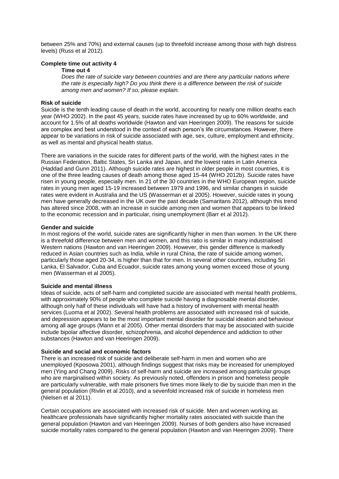between 25% and 70%) and external causes (up to threefold increase among those with high distress levels) (Russ et al 2012).

#### **Complete time out activity [4](javascript:popRef()**

#### **Time out 4**

*Does the rate of suicide vary between countries and are there any particular nations where the rate is especially high? Do you think there is a difference between the risk of suicide among men and women? If so, please explain.*

#### **Risk of suicide**

Suicide is the tenth leading cause of death in the world, accounting for nearly one million deaths each year [\(WHO 2002\)](http://journals.rcni.com/doi/full/10.7748/ns2013.03.27.30.48.e7203). In the past 45 years, suicide rates have increased by up to 60% worldwide, and account for 1.5% of all deaths worldwide (Hawton and van Heeringen 2009). The reasons for suicide are complex and best understood in the context of each person's life circumstances. However, there appear to be variations in risk of suicide associated with age, sex, culture, employment and ethnicity, as well as mental and physical health status.

There are variations in the suicide rates for different parts of the world, with the highest rates in the Russian Federation, Baltic States, Sri Lanka and Japan, and the lowest rates in Latin America (Haddad and Gunn 2011). Although suicide rates are highest in older people in most countries, it is one of the three leading causes of death among those aged 15-44 [\(WHO 2012b\)](http://journals.rcni.com/doi/full/10.7748/ns2013.03.27.30.48.e7203). Suicide rates have risen in young people, especially men. In 21 of the 30 countries in the WHO European region, suicide rates in young men aged 15-19 increased between 1979 and 1996, and similar changes in suicide rates were evident in Australia and the US (Wasserman et al 2005). However, suicide rates in young men have generally decreased in the UK over the past decade [\(Samaritans 2012\)](http://journals.rcni.com/doi/full/10.7748/ns2013.03.27.30.48.e7203), although this trend has altered since 2008, with an increase in suicide among men and women that appears to be linked to the economic recession and in particular, rising unemployment (Barr et al 2012).

#### **Gender and suicide**

In most regions of the world, suicide rates are significantly higher in men than women. In the UK there is a threefold difference between men and women, and this ratio is similar in many industrialised Western nations (Hawton and van Heeringen 2009). However, this gender difference is markedly reduced in Asian countries such as India, while in rural China, the rate of suicide among women, particularly those aged 20-34, is higher than that for men. In several other countries, including Sri Lanka, El Salvador, Cuba and Ecuador, suicide rates among young women exceed those of young men (Wasserman et al 2005).

#### **Suicide and mental illness**

Ideas of suicide, acts of self-harm and completed suicide are associated with mental health problems, with approximately 90% of people who complete suicide having a diagnosable mental disorder, although only half of these individuals will have had a history of involvement with mental health services (Luoma et al 2002). Several health problems are associated with increased risk of suicide, and depression appears to be the most important mental disorder for suicidal ideation and behaviour among all age groups (Mann et al 2005). Other mental disorders that may be associated with suicide include bipolar affective disorder, schizophrenia, and alcohol dependence and addiction to other substances (Hawton and van Heeringen 2009).

# **Suicide and social and economic factors**

There is an increased risk of suicide and deliberate self-harm in men and women who are unemployed (Kposowa 2001), although findings suggest that risks may be increased for unemployed men [\(Ying and Chang 2009\)](http://journals.rcni.com/doi/full/10.7748/ns2013.03.27.30.48.e7203). Risks of self-harm and suicide are increased among particular groups who are marginalised within society. As previously noted, offenders in prison and homeless people are particularly vulnerable, with male prisoners five times more likely to die by suicide than men in the general population (Rivlin et al 2010), and a sevenfold increased risk of suicide in homeless men (Nielsen et al 2011).

Certain occupations are associated with increased risk of suicide. Men and women working as healthcare professionals have significantly higher mortality rates associated with suicide than the general population (Hawton and van Heeringen 2009). Nurses of both genders also have increased suicide mortality rates compared to the general population (Hawton and van Heeringen 2009). There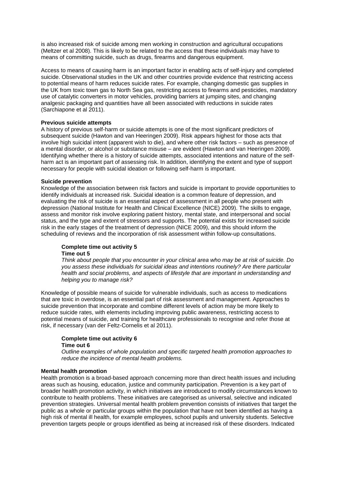is also increased risk of suicide among men working in construction and agricultural occupations (Meltzer et al 2008). This is likely to be related to the access that these individuals may have to means of committing suicide, such as drugs, firearms and dangerous equipment.

Access to means of causing harm is an important factor in enabling acts of self-injury and completed suicide. Observational studies in the UK and other countries provide evidence that restricting access to potential means of harm reduces suicide rates. For example, changing domestic gas supplies in the UK from toxic town gas to North Sea gas, restricting access to firearms and pesticides, mandatory use of catalytic converters in motor vehicles, providing barriers at jumping sites, and changing analgesic packaging and quantities have all been associated with reductions in suicide rates (Sarchiapone et al 2011).

#### **Previous suicide attempts**

A history of previous self-harm or suicide attempts is one of the most significant predictors of subsequent suicide (Hawton and van Heeringen 2009). Risk appears highest for those acts that involve high suicidal intent (apparent wish to die), and where other risk factors – such as presence of a mental disorder, or alcohol or substance misuse – are evident (Hawton and van Heeringen 2009). Identifying whether there is a history of suicide attempts, associated intentions and nature of the selfharm act is an important part of assessing risk. In addition, identifying the extent and type of support necessary for people with suicidal ideation or following self-harm is important.

# **Suicide prevention**

Knowledge of the association between risk factors and suicide is important to provide opportunities to identify individuals at increased risk. Suicidal ideation is a common feature of depression, and evaluating the risk of suicide is an essential aspect of assessment in all people who present with depression (National Institute for Health and Clinical Excellence (NICE) 2009). The skills to engage, assess and monitor risk involve exploring patient history, mental state, and interpersonal and social status, and the type and extent of stressors and supports. The potential exists for increased suicide risk in the early stages of the treatment of depression (NICE 2009), and this should inform the scheduling of reviews and the incorporation of risk assessment within follow-up consultations.

# **Complete time out activity [5](javascript:popRef() Time out 5**

*Think about people that you encounter in your clinical area who may be at risk of suicide. Do you assess these individuals for suicidal ideas and intentions routinely? Are there particular health and social problems, and aspects of lifestyle that are important in understanding and helping you to manage risk?*

Knowledge of possible means of suicide for vulnerable individuals, such as access to medications that are toxic in overdose, is an essential part of risk assessment and management. Approaches to suicide prevention that incorporate and combine different levels of action may be more likely to reduce suicide rates, with elements including improving public awareness, restricting access to potential means of suicide, and training for healthcare professionals to recognise and refer those at risk, if necessary (van der Feltz-Cornelis et al 2011).

#### **Complete time out activity [6](javascript:popRef()**

**Time out 6** 

*Outline examples of whole population and specific targeted health promotion approaches to reduce the incidence of mental health problems.*

#### **Mental health promotion**

Health promotion is a broad-based approach concerning more than direct health issues and including areas such as housing, education, justice and community participation. Prevention is a key part of broader health promotion activity, in which initiatives are introduced to modify circumstances known to contribute to health problems. These initiatives are categorised as universal, selective and indicated prevention strategies. Universal mental health problem prevention consists of initiatives that target the public as a whole or particular groups within the population that have not been identified as having a high risk of mental ill health, for example employees, school pupils and university students. Selective prevention targets people or groups identified as being at increased risk of these disorders. Indicated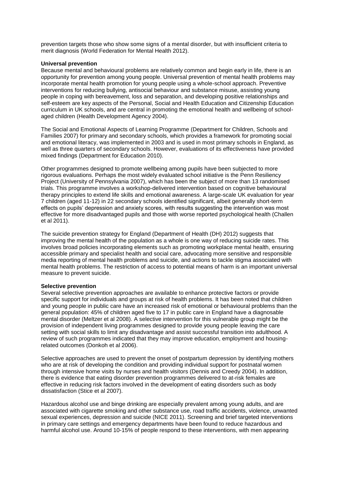prevention targets those who show some signs of a mental disorder, but with insufficient criteria to merit diagnosis (World Federation for Mental Health 2012).

#### **Universal prevention**

Because mental and behavioural problems are relatively common and begin early in life, there is an opportunity for prevention among young people. Universal prevention of mental health problems may incorporate mental health promotion for young people using a whole-school approach. Preventive interventions for reducing bullying, antisocial behaviour and substance misuse, assisting young people in coping with bereavement, loss and separation, and developing positive relationships and self-esteem are key aspects of the Personal, Social and Health Education and Citizenship Education curriculum in UK schools, and are central in promoting the emotional health and wellbeing of schoolaged children (Health Development Agency 2004).

The Social and Emotional Aspects of Learning Programme (Department for Children, Schools and Families 2007) for primary and secondary schools, which provides a framework for promoting social and emotional literacy, was implemented in 2003 and is used in most primary schools in England, as well as three quarters of secondary schools. However, evaluations of its effectiveness have provided mixed findings (Department for Education 2010).

Other programmes designed to promote wellbeing among pupils have been subjected to more rigorous evaluations. Perhaps the most widely evaluated school initiative is the Penn Resiliency Project [\(University of Pennsylvania 2007\)](http://journals.rcni.com/doi/full/10.7748/ns2013.03.27.30.48.e7203), which has been the subject of more than 13 randomised trials. This programme involves a workshop-delivered intervention based on cognitive behavioural therapy principles to extend life skills and emotional awareness. A large-scale UK evaluation for year 7 children (aged 11-12) in 22 secondary schools identified significant, albeit generally short-term effects on pupils' depression and anxiety scores, with results suggesting the intervention was most effective for more disadvantaged pupils and those with worse reported psychological health (Challen et al 2011).

The suicide prevention strategy for England (Department of Health (DH) 2012) suggests that improving the mental health of the population as a whole is one way of reducing suicide rates. This involves broad policies incorporating elements such as promoting workplace mental health, ensuring accessible primary and specialist health and social care, advocating more sensitive and responsible media reporting of mental health problems and suicide, and actions to tackle stigma associated with mental health problems. The restriction of access to potential means of harm is an important universal measure to prevent suicide.

#### **Selective prevention**

Several selective prevention approaches are available to enhance protective factors or provide specific support for individuals and groups at risk of health problems. It has been noted that children and young people in public care have an increased risk of emotional or behavioural problems than the general population: 45% of children aged five to 17 in public care in England have a diagnosable mental disorder [\(Meltzer et al 2008\)](http://journals.rcni.com/doi/full/10.7748/ns2013.03.27.30.48.e7203). A selective intervention for this vulnerable group might be the provision of independent living programmes designed to provide young people leaving the care setting with social skills to limit any disadvantage and assist successful transition into adulthood. A review of such programmes indicated that they may improve education, employment and housingrelated outcomes (Donkoh et al 2006).

Selective approaches are used to prevent the onset of postpartum depression by identifying mothers who are at risk of developing the condition and providing individual support for postnatal women through intensive home visits by nurses and health visitors [\(Dennis and Creedy 2004\)](http://journals.rcni.com/doi/full/10.7748/ns2013.03.27.30.48.e7203). In addition, there is evidence that eating disorder prevention programmes delivered to at-risk females are effective in reducing risk factors involved in the development of eating disorders such as body dissatisfaction (Stice et al 2007).

Hazardous alcohol use and binge drinking are especially prevalent among young adults, and are associated with cigarette smoking and other substance use, road traffic accidents, violence, unwanted sexual experiences, depression and suicide (NICE 2011). Screening and brief targeted interventions in primary care settings and emergency departments have been found to reduce hazardous and harmful alcohol use. Around 10-15% of people respond to these interventions, with men appearing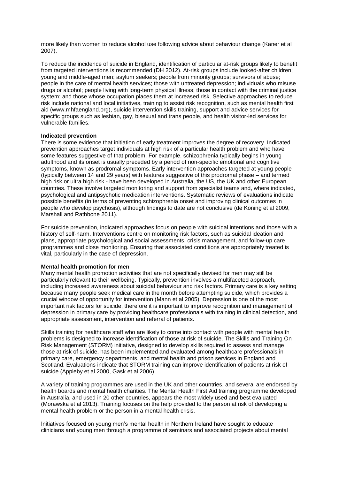more likely than women to reduce alcohol use following advice about behaviour change (Kaner et al 2007).

To reduce the incidence of suicide in England, identification of particular at-risk groups likely to benefit from targeted interventions is recommended (DH 2012). At-risk groups include looked-after children; young and middle-aged men; asylum seekers; people from minority groups; survivors of abuse; people in the care of mental health services; those with untreated depression; individuals who misuse drugs or alcohol; people living with long-term physical illness; those in contact with the criminal justice system; and those whose occupation places them at increased risk. Selective approaches to reduce risk include national and local initiatives, training to assist risk recognition, such as mental health first aid [\(www.mhfaengland.org\)](http://www.mhfaengland.org/), suicide intervention skills training, support and advice services for specific groups such as lesbian, gay, bisexual and trans people, and health visitor-led services for vulnerable families.

#### **Indicated prevention**

There is some evidence that initiation of early treatment improves the degree of recovery. Indicated prevention approaches target individuals at high risk of a particular health problem and who have some features suggestive of that problem. For example, schizophrenia typically begins in young adulthood and its onset is usually preceded by a period of non-specific emotional and cognitive symptoms, known as prodromal symptoms. Early intervention approaches targeted at young people (typically between 14 and 29 years) with features suggestive of this prodromal phase – and termed high risk or ultra high risk - have been developed in Australia, the US, the UK and other European countries. These involve targeted monitoring and support from specialist teams and, where indicated, psychological and antipsychotic medication interventions. Systematic reviews of evaluations indicate possible benefits (in terms of preventing schizophrenia onset and improving clinical outcomes in people who develop psychosis), although findings to date are not conclusive (de Koning et al 2009, Marshall and Rathbone 2011).

For suicide prevention, indicated approaches focus on people with suicidal intentions and those with a history of self-harm. Interventions centre on monitoring risk factors, such as suicidal ideation and plans, appropriate psychological and social assessments, crisis management, and follow-up care programmes and close monitoring. Ensuring that associated conditions are appropriately treated is vital, particularly in the case of depression.

#### **Mental health promotion for men**

Many mental health promotion activities that are not specifically devised for men may still be particularly relevant to their wellbeing. Typically, prevention involves a multifaceted approach, including increased awareness about suicidal behaviour and risk factors. Primary care is a key setting because many people seek medical care in the month before attempting suicide, which provides a crucial window of opportunity for intervention (Mann et al 2005). Depression is one of the most important risk factors for suicide, therefore it is important to improve recognition and management of depression in primary care by providing healthcare professionals with training in clinical detection, and appropriate assessment, intervention and referral of patients.

Skills training for healthcare staff who are likely to come into contact with people with mental health problems is designed to increase identification of those at risk of suicide. The Skills and Training On Risk Management (STORM) initiative, designed to develop skills required to assess and manage those at risk of suicide, has been implemented and evaluated among healthcare professionals in primary care, emergency departments, and mental health and prison services in England and Scotland. Evaluations indicate that STORM training can improve identification of patients at risk of suicide (Appleby et al 2000, Gask et al 2006).

A variety of training programmes are used in the UK and other countries, and several are endorsed by health boards and mental health charities. The Mental Health First Aid training programme developed in Australia, and used in 20 other countries, appears the most widely used and best evaluated (Morawska et al 2013). Training focuses on the help provided to the person at risk of developing a mental health problem or the person in a mental health crisis.

Initiatives focused on young men's mental health in Northern Ireland have sought to educate clinicians and young men through a programme of seminars and associated projects about mental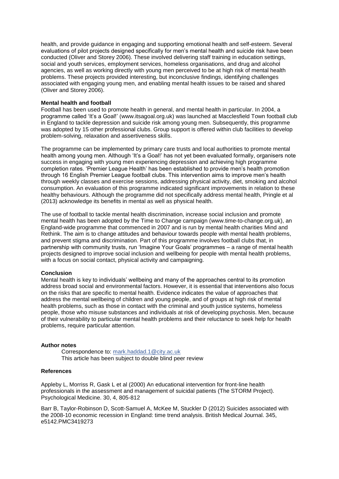health, and provide guidance in engaging and supporting emotional health and self-esteem. Several evaluations of pilot projects designed specifically for men's mental health and suicide risk have been conducted (Oliver and Storey 2006). These involved delivering staff training in education settings, social and youth services, employment services, homeless organisations, and drug and alcohol agencies, as well as working directly with young men perceived to be at high risk of mental health problems. These projects provided interesting, but inconclusive findings, identifying challenges associated with engaging young men, and enabling mental health issues to be raised and shared [\(Oliver and Storey 2006\)](http://journals.rcni.com/doi/full/10.7748/ns2013.03.27.30.48.e7203).

#### **Mental health and football**

Football has been used to promote health in general, and mental health in particular. In 2004, a programme called 'It's a Goal!' [\(www.itsagoal.org.uk\)](http://www.itsagoal.org.uk/) was launched at Macclesfield Town football club in England to tackle depression and suicide risk among young men. Subsequently, this programme was adopted by 15 other professional clubs. Group support is offered within club facilities to develop problem-solving, relaxation and assertiveness skills.

The programme can be implemented by primary care trusts and local authorities to promote mental health among young men. Although 'It's a Goal!' has not yet been evaluated formally, organisers note success in engaging with young men experiencing depression and achieving high programme completion rates. 'Premier League Health' has been established to provide men's health promotion through 16 English Premier League football clubs. This intervention aims to improve men's health through weekly classes and exercise sessions, addressing physical activity, diet, smoking and alcohol consumption. An evaluation of this programme indicated significant improvements in relation to these healthy behaviours. Although the programme did not specifically address mental health, Pringle et al [\(2013\)](http://journals.rcni.com/doi/full/10.7748/ns2013.03.27.30.48.e7203) acknowledge its benefits in mental as well as physical health.

The use of football to tackle mental health discrimination, increase social inclusion and promote mental health has been adopted by the Time to Change campaign [\(www.time-to-change.org.uk\)](http://www.time-to-change.org.uk/), an England-wide programme that commenced in 2007 and is run by mental health charities Mind and Rethink. The aim is to change attitudes and behaviour towards people with mental health problems, and prevent stigma and discrimination. Part of this programme involves football clubs that, in partnership with community trusts, run 'Imagine Your Goals' programmes – a range of mental health projects designed to improve social inclusion and wellbeing for people with mental health problems, with a focus on social contact, physical activity and campaigning.

#### **Conclusion**

Mental health is key to individuals' wellbeing and many of the approaches central to its promotion address broad social and environmental factors. However, it is essential that interventions also focus on the risks that are specific to mental health. Evidence indicates the value of approaches that address the mental wellbeing of children and young people, and of groups at high risk of mental health problems, such as those in contact with the criminal and youth justice systems, homeless people, those who misuse substances and individuals at risk of developing psychosis. Men, because of their vulnerability to particular mental health problems and their reluctance to seek help for health problems, require particular attention.

#### **Author notes**

Correspondence to: [mark.haddad.1@city.ac.uk](mailto:mark.haddad.1@city.ac.uk) This article has been subject to double blind peer review

# **References**

Appleby L, Morriss R, Gask L et al (2000) An educational intervention for front-line health professionals in the assessment and management of suicidal patients (The STORM Project). Psychological Medicine. 30, 4, 805-812

Barr B, Taylor-Robinson D, Scott-Samuel A, McKee M, Stuckler D (2012) Suicides associated with the 2008-10 economic recession in England: time trend analysis. British Medical Journal. 345, e5142.PMC3419273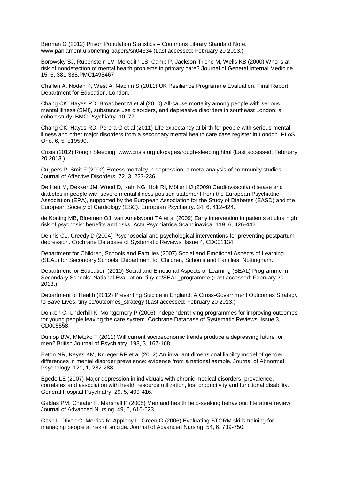Berman G (2012) Prison Population Statistics – Commons Library Standard Note. [www.parliament.uk/briefing-papers/sn04334](http://www.parliament.uk/briefing-papers/sn04334) (Last accessed: February 20 2013.)

Borowsky SJ, Rubenstein LV, Meredith LS, Camp P, Jackson-Triche M, Wells KB (2000) Who is at risk of nondetection of mental health problems in primary care? Journal of General Internal Medicine. 15, 6, 381-388.PMC1495467

Challen A, Noden P, West A, Machin S (2011) UK Resilience Programme Evaluation: Final Report. Department for Education, London.

Chang CK, Hayes RD, Broadbent M et al (2010) All-cause mortality among people with serious mental illness (SMI), substance use disorders, and depressive disorders in southeast London: a cohort study. BMC Psychiatry. 10, 77.

Chang CK, Hayes RD, Perera G et al (2011) Life expectancy at birth for people with serious mental illness and other major disorders from a secondary mental health care case register in London. PLoS One. 6, 5, e19590.

Crisis (2012) Rough Sleeping. [www.crisis.org.uk/pages/rough-sleeping.html](http://www.crisis.org.uk/pages/rough-sleeping.html) (Last accessed: February 20 2013.)

Cuijpers P, Smit F (2002) Excess mortality in depression: a meta-analysis of community studies. Journal of Affective Disorders. 72, 3, 227-236.

De Hert M, Dekker JM, Wood D, Kahl KG, Holt RI, Möller HJ (2009) Cardiovascular disease and diabetes in people with severe mental illness position statement from the European Psychiatric Association (EPA), supported by the European Association for the Study of Diabetes (EASD) and the European Society of Cardiology (ESC). European Psychiatry. 24, 6, 412-424.

de Koning MB, Bloemen OJ, van Amelsvoort TA et al (2009) Early intervention in patients at ultra high risk of psychosis: benefits and risks. Acta Psychiatrica Scandinavica. 119, 6, 426-442

Dennis CL, Creedy D (2004) Psychosocial and psychological interventions for preventing postpartum depression. Cochrane Database of Systematic Reviews. Issue 4, CD001134.

Department for Children, Schools and Families (2007) Social and Emotional Aspects of Learning (SEAL) for Secondary Schools. Department for Children, Schools and Families, Nottingham.

Department for Education (2010) Social and Emotional Aspects of Learning (SEAL) Programme in Secondary Schools: National Evaluation. [tiny.cc/SEAL\\_programme](http://tiny.cc/SEAL_programme) (Last accessed: February 20 2013.)

Department of Health (2012) Preventing Suicide in England: A Cross-Government Outcomes Strategy to Save Lives. [tiny.cc/outcomes\\_strategy](http://tiny.cc/outcomes_strategy) (Last accessed: February 20 2013.)

Donkoh C, Underhill K, Montgomery P (2006) Independent living programmes for improving outcomes for young people leaving the care system. Cochrane Database of Systematic Reviews. Issue 3, CD005558.

Dunlop BW, Mletzko T (2011) Will current socioeconomic trends produce a depressing future for men? British Journal of Psychiatry. 198, 3, 167-168.

Eaton NR, Keyes KM, Krueger RF et al (2012) An invariant dimensional liability model of gender differences in mental disorder prevalence: evidence from a national sample. Journal of Abnormal Psychology. 121, 1, 282-288.

Egede LE (2007) Major depression in individuals with chronic medical disorders: prevalence, correlates and association with health resource utilization, lost productivity and functional disability. General Hospital Psychiatry. 29, 5, 409-416.

Galdas PM, Cheater F, Marshall P (2005) Men and health help-seeking behaviour: literature review. Journal of Advanced Nursing. 49, 6, 616-623.

Gask L, Dixon C, Morriss R, Appleby L, Green G (2006) Evaluating STORM skills training for managing people at risk of suicide. Journal of Advanced Nursing. 54, 6, 739-750.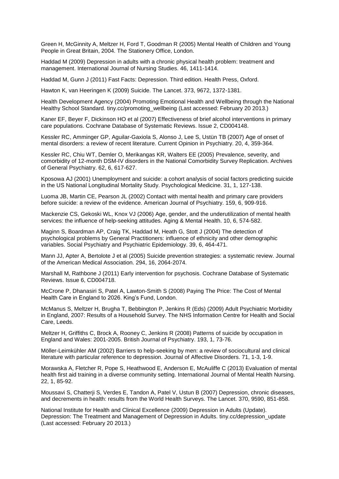Green H, McGinnity A, Meltzer H, Ford T, Goodman R (2005) Mental Health of Children and Young People in Great Britain, 2004. The Stationery Office, London.

Haddad M (2009) Depression in adults with a chronic physical health problem: treatment and management. International Journal of Nursing Studies. 46, 1411-1414.

Haddad M, Gunn J (2011) Fast Facts: Depression. Third edition. Health Press, Oxford.

Hawton K, van Heeringen K (2009) Suicide. The Lancet. 373, 9672, 1372-1381.

Health Development Agency (2004) Promoting Emotional Health and Wellbeing through the National Healthy School Standard. [tiny.cc/promoting\\_wellbeing](http://tiny.cc/promoting_wellbeing) (Last accessed: February 20 2013.)

Kaner EF, Beyer F, Dickinson HO et al (2007) Effectiveness of brief alcohol interventions in primary care populations. Cochrane Database of Systematic Reviews. Issue 2, CD004148.

Kessler RC, Amminger GP, Aguilar-Gaxiola S, Alonso J, Lee S, Ustün TB (2007) Age of onset of mental disorders: a review of recent literature. Current Opinion in Psychiatry. 20, 4, 359-364.

Kessler RC, Chiu WT, Demler O, Merikangas KR, Walters EE (2005) Prevalence, severity, and comorbidity of 12-month DSM-IV disorders in the National Comorbidity Survey Replication. Archives of General Psychiatry. 62, 6, 617-627.

Kposowa AJ (2001) Unemployment and suicide: a cohort analysis of social factors predicting suicide in the US National Longitudinal Mortality Study. Psychological Medicine. 31, 1, 127-138.

Luoma JB, Martin CE, Pearson JL (2002) Contact with mental health and primary care providers before suicide: a review of the evidence. American Journal of Psychiatry. 159, 6, 909-916.

Mackenzie CS, Gekoski WL, Knox VJ (2006) Age, gender, and the underutilization of mental health services: the influence of help-seeking attitudes. Aging & Mental Health. 10, 6, 574-582.

Maginn S, Boardman AP, Craig TK, Haddad M, Heath G, Stott J (2004) The detection of psychological problems by General Practitioners: influence of ethnicity and other demographic variables. Social Psychiatry and Psychiatric Epidemiology. 39, 6, 464-471.

Mann JJ, Apter A, Bertolote J et al (2005) Suicide prevention strategies: a systematic review. Journal of the American Medical Association. 294, 16, 2064-2074.

Marshall M, Rathbone J (2011) Early intervention for psychosis. Cochrane Database of Systematic Reviews. Issue 6, CD004718.

McCrone P, Dhanasiri S, Patel A, Lawton-Smith S (2008) Paying The Price: The Cost of Mental Health Care in England to 2026. King's Fund, London.

McManus S, Meltzer H, Brugha T, Bebbington P, Jenkins R (Eds) (2009) Adult Psychiatric Morbidity in England, 2007: Results of a Household Survey. The NHS Information Centre for Health and Social Care, Leeds.

Meltzer H, Griffiths C, Brock A, Rooney C, Jenkins R (2008) Patterns of suicide by occupation in England and Wales: 2001-2005. British Journal of Psychiatry. 193, 1, 73-76.

Möller-Leimkühler AM (2002) Barriers to help-seeking by men: a review of sociocultural and clinical literature with particular reference to depression. Journal of Affective Disorders. 71, 1-3, 1-9.

Morawska A, Fletcher R, Pope S, Heathwood E, Anderson E, McAuliffe C (2013) Evaluation of mental health first aid training in a diverse community setting. International Journal of Mental Health Nursing. 22, 1, 85-92.

Moussavi S, Chatterji S, Verdes E, Tandon A, Patel V, Ustun B (2007) Depression, chronic diseases, and decrements in health: results from the World Health Surveys. The Lancet. 370, 9590, 851-858.

National Institute for Health and Clinical Excellence (2009) Depression in Adults (Update). Depression: The Treatment and Management of Depression in Adults. [tiny.cc/depression\\_update](http://tiny.cc/depression_update) (Last accessed: February 20 2013.)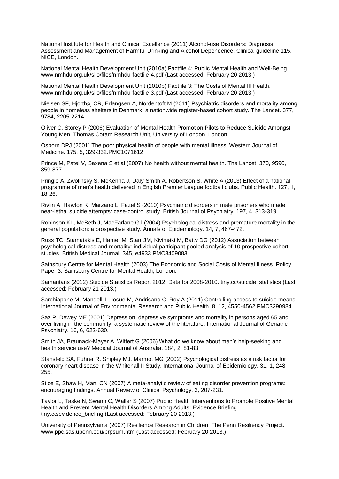National Institute for Health and Clinical Excellence (2011) Alcohol-use Disorders: Diagnosis, Assessment and Management of Harmful Drinking and Alcohol Dependence. Clinical guideline 115. NICE, London.

National Mental Health Development Unit (2010a) Factfile 4: Public Mental Health and Well-Being. [www.nmhdu.org.uk/silo/files/nmhdu-factfile-4.pdf](http://www.nmhdu.org.uk/silo/files/nmhdu-factfile-4.pdf) (Last accessed: February 20 2013.)

National Mental Health Development Unit (2010b) Factfile 3: The Costs of Mental Ill Health. [www.nmhdu.org.uk/silo/files/nmhdu-factfile-3.pdf](http://www.nmhdu.org.uk/silo/files/nmhdu-factfile-3.pdf) (Last accessed: February 20 2013.)

Nielsen SF, Hjorthøj CR, Erlangsen A, Nordentoft M (2011) Psychiatric disorders and mortality among people in homeless shelters in Denmark: a nationwide register-based cohort study. The Lancet. 377, 9784, 2205-2214.

Oliver C, Storey P (2006) Evaluation of Mental Health Promotion Pilots to Reduce Suicide Amongst Young Men. Thomas Coram Research Unit, University of London, London.

Osborn DPJ (2001) The poor physical health of people with mental illness. Western Journal of Medicine. 175, 5, 329-332.PMC1071612

Prince M, Patel V, Saxena S et al (2007) No health without mental health. The Lancet. 370, 9590, 859-877.

Pringle A, Zwolinsky S, McKenna J, Daly-Smith A, Robertson S, White A (2013) Effect of a national programme of men's health delivered in English Premier League football clubs. Public Health. 127, 1, 18-26.

Rivlin A, Hawton K, Marzano L, Fazel S (2010) Psychiatric disorders in male prisoners who made near-lethal suicide attempts: case-control study. British Journal of Psychiatry. 197, 4, 313-319.

Robinson KL, McBeth J, MacFarlane GJ (2004) Psychological distress and premature mortality in the general population: a prospective study. Annals of Epidemiology. 14, 7, 467-472.

Russ TC, Stamatakis E, Hamer M, Starr JM, Kivimäki M, Batty DG (2012) Association between psychological distress and mortality: individual participant pooled analysis of 10 prospective cohort studies. British Medical Journal. 345, e4933.PMC3409083

Sainsbury Centre for Mental Health (2003) The Economic and Social Costs of Mental Illness. Policy Paper 3. Sainsbury Centre for Mental Health, London.

Samaritans (2012) Suicide Statistics Report 2012: Data for 2008-2010. [tiny.cc/suicide\\_statistics](http://tiny.cc/suicide_statistics) (Last accessed: February 21 2013.)

Sarchiapone M, Mandelli L, Iosue M, Andrisano C, Roy A (2011) Controlling access to suicide means. International Journal of Environmental Research and Public Health. 8, 12, 4550-4562.PMC3290984

Saz P, Dewey ME (2001) Depression, depressive symptoms and mortality in persons aged 65 and over living in the community: a systematic review of the literature. International Journal of Geriatric Psychiatry. 16, 6, 622-630.

Smith JA, Braunack-Mayer A, Wittert G (2006) What do we know about men's help-seeking and health service use? Medical Journal of Australia. 184, 2, 81-83.

Stansfeld SA, Fuhrer R, Shipley MJ, Marmot MG (2002) Psychological distress as a risk factor for coronary heart disease in the Whitehall II Study. International Journal of Epidemiology. 31, 1, 248- 255.

Stice E, Shaw H, Marti CN (2007) A meta-analytic review of eating disorder prevention programs: encouraging findings. Annual Review of Clinical Psychology. 3, 207-231.

Taylor L, Taske N, Swann C, Waller S (2007) Public Health Interventions to Promote Positive Mental Health and Prevent Mental Health Disorders Among Adults: Evidence Briefing. [tiny.cc/evidence\\_briefing](http://tiny.cc/evidence_briefing) (Last accessed: February 20 2013.)

University of Pennsylvania (2007) Resilience Research in Children: The Penn Resiliency Project. [www.ppc.sas.upenn.edu/prpsum.htm](http://www.ppc.sas.upenn.edu/prpsum.htm) (Last accessed: February 20 2013.)